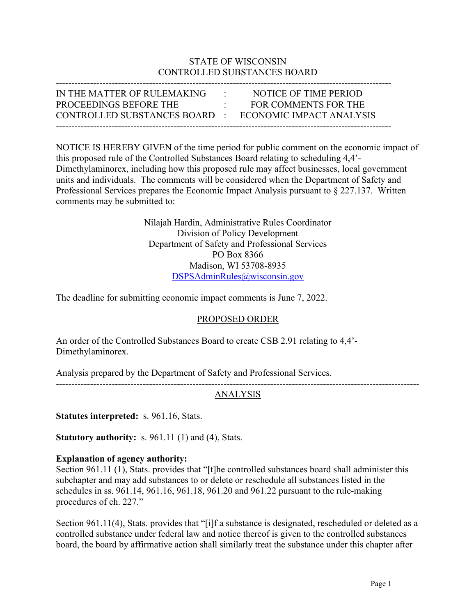## STATE OF WISCONSIN CONTROLLED SUBSTANCES BOARD

| IN THE MATTER OF RULEMAKING                            | $\sim 10^{-11}$                  | NOTICE OF TIME PERIOD |
|--------------------------------------------------------|----------------------------------|-----------------------|
| PROCEEDINGS BEFORE THE                                 | $\bullet$ . The set of $\bullet$ | FOR COMMENTS FOR THE  |
| CONTROLLED SUBSTANCES BOARD · ECONOMIC IMPACT ANALYSIS |                                  |                       |
|                                                        |                                  |                       |

NOTICE IS HEREBY GIVEN of the time period for public comment on the economic impact of this proposed rule of the Controlled Substances Board relating to scheduling 4,4'- Dimethylaminorex, including how this proposed rule may affect businesses, local government units and individuals. The comments will be considered when the Department of Safety and Professional Services prepares the Economic Impact Analysis pursuant to § 227.137. Written comments may be submitted to:

> Nilajah Hardin, Administrative Rules Coordinator Division of Policy Development Department of Safety and Professional Services PO Box 8366 Madison, WI 53708-8935 [DSPSAdminRules@wisconsin.gov](mailto:DSPSAdminRules@wisconsin.gov)

The deadline for submitting economic impact comments is June 7, 2022.

### PROPOSED ORDER

An order of the Controlled Substances Board to create CSB 2.91 relating to 4,4'- Dimethylaminorex.

Analysis prepared by the Department of Safety and Professional Services.

## ANALYSIS

---------------------------------------------------------------------------------------------------------------------

**Statutes interpreted:** s. 961.16, Stats.

**Statutory authority:** s. 961.11 (1) and (4), Stats.

### **Explanation of agency authority:**

Section 961.11 (1), Stats. provides that "[t]he controlled substances board shall administer this subchapter and may add substances to or delete or reschedule all substances listed in the schedules in ss. 961.14, 961.16, 961.18, 961.20 and 961.22 pursuant to the rule-making procedures of ch. 227."

Section 961.11(4), Stats. provides that "[i]f a substance is designated, rescheduled or deleted as a controlled substance under federal law and notice thereof is given to the controlled substances board, the board by affirmative action shall similarly treat the substance under this chapter after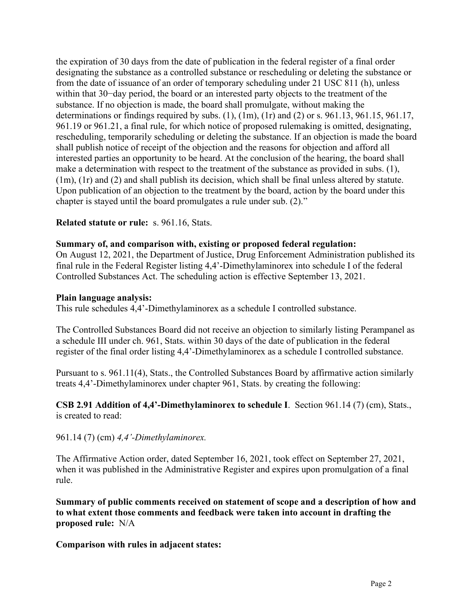the expiration of 30 days from the date of publication in the federal register of a final order designating the substance as a controlled substance or rescheduling or deleting the substance or from the date of issuance of an order of temporary scheduling under 21 USC 811 (h), unless within that 30−day period, the board or an interested party objects to the treatment of the substance. If no objection is made, the board shall promulgate, without making the determinations or findings required by subs. (1), (1m), (1r) and (2) or s. 961.13, 961.15, 961.17, 961.19 or 961.21, a final rule, for which notice of proposed rulemaking is omitted, designating, rescheduling, temporarily scheduling or deleting the substance. If an objection is made the board shall publish notice of receipt of the objection and the reasons for objection and afford all interested parties an opportunity to be heard. At the conclusion of the hearing, the board shall make a determination with respect to the treatment of the substance as provided in subs. (1), (1m), (1r) and (2) and shall publish its decision, which shall be final unless altered by statute. Upon publication of an objection to the treatment by the board, action by the board under this chapter is stayed until the board promulgates a rule under sub. (2)."

## **Related statute or rule:** s. 961.16, Stats.

### **Summary of, and comparison with, existing or proposed federal regulation:**

On August 12, 2021, the Department of Justice, Drug Enforcement Administration published its final rule in the Federal Register listing 4,4'-Dimethylaminorex into schedule I of the federal Controlled Substances Act. The scheduling action is effective September 13, 2021.

#### **Plain language analysis:**

This rule schedules 4,4'-Dimethylaminorex as a schedule I controlled substance.

The Controlled Substances Board did not receive an objection to similarly listing Perampanel as a schedule III under ch. 961, Stats. within 30 days of the date of publication in the federal register of the final order listing 4,4'-Dimethylaminorex as a schedule I controlled substance.

Pursuant to s. 961.11(4), Stats., the Controlled Substances Board by affirmative action similarly treats 4,4'-Dimethylaminorex under chapter 961, Stats. by creating the following:

**CSB 2.91 Addition of 4,4'-Dimethylaminorex to schedule I**. Section 961.14 (7) (cm), Stats., is created to read:

### 961.14 (7) (cm) *4,4'-Dimethylaminorex.*

The Affirmative Action order, dated September 16, 2021, took effect on September 27, 2021, when it was published in the Administrative Register and expires upon promulgation of a final rule.

**Summary of public comments received on statement of scope and a description of how and to what extent those comments and feedback were taken into account in drafting the proposed rule:** N/A

### **Comparison with rules in adjacent states:**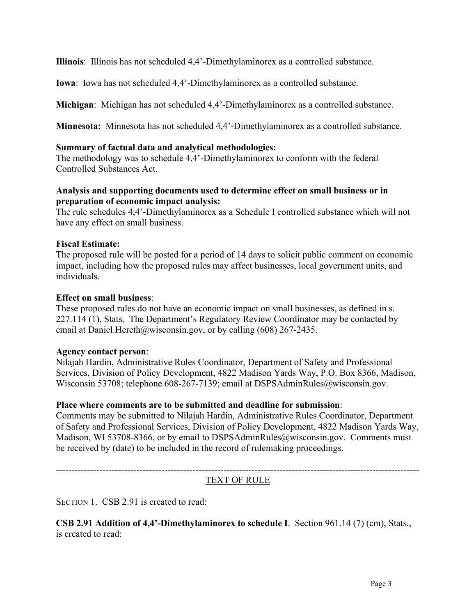**Illinois**: Illinois has not scheduled 4,4'-Dimethylaminorex as a controlled substance.

**Iowa**: Iowa has not scheduled 4,4'-Dimethylaminorex as a controlled substance.

**Michigan**: Michigan has not scheduled 4,4'-Dimethylaminorex as a controlled substance.

**Minnesota:** Minnesota has not scheduled 4,4'-Dimethylaminorex as a controlled substance.

### **Summary of factual data and analytical methodologies:**

The methodology was to schedule 4,4'-Dimethylaminorex to conform with the federal Controlled Substances Act.

## **Analysis and supporting documents used to determine effect on small business or in preparation of economic impact analysis:**

The rule schedules 4,4'-Dimethylaminorex as a Schedule I controlled substance which will not have any effect on small business.

## **Fiscal Estimate:**

The proposed rule will be posted for a period of 14 days to solicit public comment on economic impact, including how the proposed rules may affect businesses, local government units, and individuals.

### **Effect on small business**:

These proposed rules do not have an economic impact on small businesses, as defined in s. 227.114 (1), Stats. The Department's Regulatory Review Coordinator may be contacted by email at Daniel.Hereth@wisconsin.gov, or by calling (608) 267-2435.

### **Agency contact person**:

Nilajah Hardin, Administrative Rules Coordinator, Department of Safety and Professional Services, Division of Policy Development, 4822 Madison Yards Way, P.O. Box 8366, Madison, Wisconsin 53708; telephone 608-267-7139; email at DSPSAdminRules@wisconsin.gov.

### **Place where comments are to be submitted and deadline for submission**:

Comments may be submitted to Nilajah Hardin, Administrative Rules Coordinator, Department of Safety and Professional Services, Division of Policy Development, 4822 Madison Yards Way, Madison, WI 53708-8366, or by email to DSPSAdminRules@wisconsin.gov. Comments must be received by (date) to be included in the record of rulemaking proceedings.

---------------------------------------------------------------------------------------------------------------------

# TEXT OF RULE

SECTION 1. CSB 2.91 is created to read:

**CSB 2.91 Addition of 4,4'-Dimethylaminorex to schedule I**. Section 961.14 (7) (cm), Stats., is created to read: